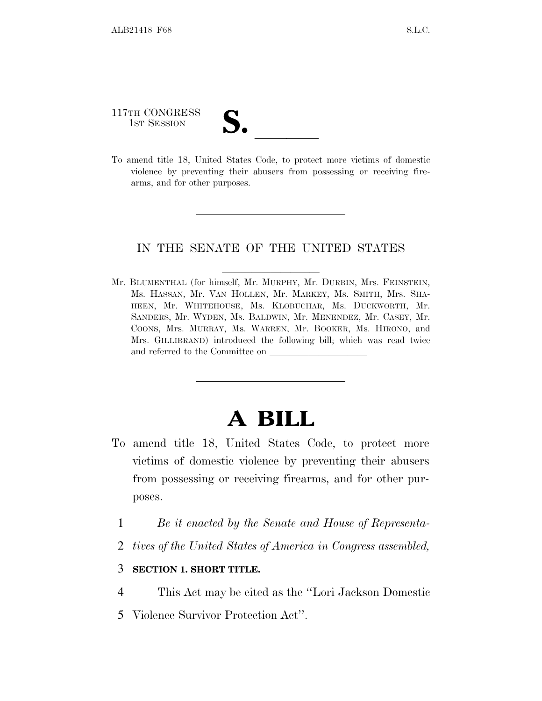117TH CONGRESS 117TH CONGRESS<br>
1ST SESSION<br>
To amend title 18, United States Code, to protect more victims of domestic

violence by preventing their abusers from possessing or receiving firearms, and for other purposes.

## IN THE SENATE OF THE UNITED STATES

Mr. BLUMENTHAL (for himself, Mr. MURPHY, Mr. DURBIN, Mrs. FEINSTEIN, Ms. HASSAN, Mr. VAN HOLLEN, Mr. MARKEY, Ms. SMITH, Mrs. SHA-HEEN, Mr. WHITEHOUSE, Ms. KLOBUCHAR, Ms. DUCKWORTH, Mr. SANDERS, Mr. WYDEN, Ms. BALDWIN, Mr. MENENDEZ, Mr. CASEY, Mr. COONS, Mrs. MURRAY, Ms. WARREN, Mr. BOOKER, Ms. HIRONO, and Mrs. GILLIBRAND) introduced the following bill; which was read twice and referred to the Committee on  $\_$ 

## **A BILL**

- To amend title 18, United States Code, to protect more victims of domestic violence by preventing their abusers from possessing or receiving firearms, and for other purposes.
	- 1 *Be it enacted by the Senate and House of Representa-*
	- 2 *tives of the United States of America in Congress assembled,*

## 3 **SECTION 1. SHORT TITLE.**

- 4 This Act may be cited as the ''Lori Jackson Domestic
- 5 Violence Survivor Protection Act''.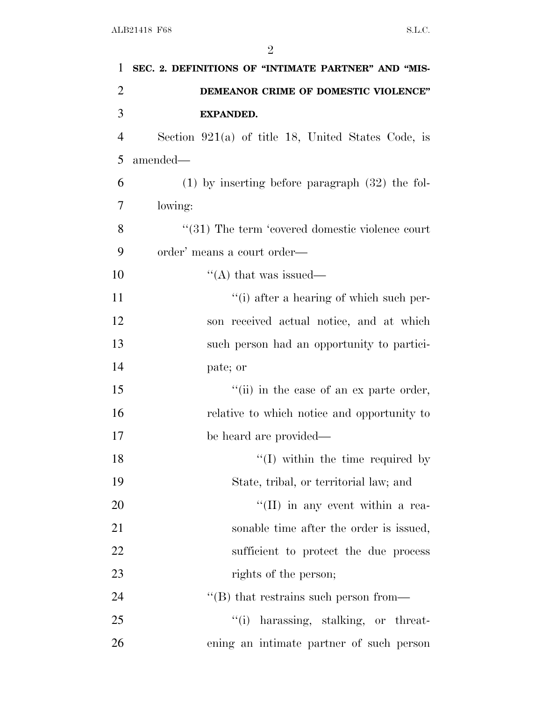| 1              | SEC. 2. DEFINITIONS OF "INTIMATE PARTNER" AND "MIS-  |
|----------------|------------------------------------------------------|
| $\overline{2}$ | DEMEANOR CRIME OF DOMESTIC VIOLENCE"                 |
| 3              | <b>EXPANDED.</b>                                     |
| $\overline{4}$ | Section $921(a)$ of title 18, United States Code, is |
| 5              | amended-                                             |
| 6              | $(1)$ by inserting before paragraph $(32)$ the fol-  |
| 7              | lowing:                                              |
| 8              | "(31) The term 'covered domestic violence court      |
| 9              | order' means a court order—                          |
| 10             | "(A) that was issued—                                |
| 11             | "(i) after a hearing of which such per-              |
| 12             | son received actual notice, and at which             |
| 13             | such person had an opportunity to partici-           |
| 14             | pate; or                                             |
| 15             | "(ii) in the case of an ex parte order,              |
| 16             | relative to which notice and opportunity to          |
| 17             | be heard are provided—                               |
| 18             | $\lq(1)$ within the time required by                 |
| 19             | State, tribal, or territorial law; and               |
| 20             | $\lq\lq$ (II) in any event within a rea-             |
| 21             | sonable time after the order is issued,              |
| 22             | sufficient to protect the due process                |
| 23             | rights of the person;                                |
| 24             | $\lq\lq$ that restrains such person from—            |
| 25             | "(i) harassing, stalking, or threat-                 |
| 26             | ening an intimate partner of such person             |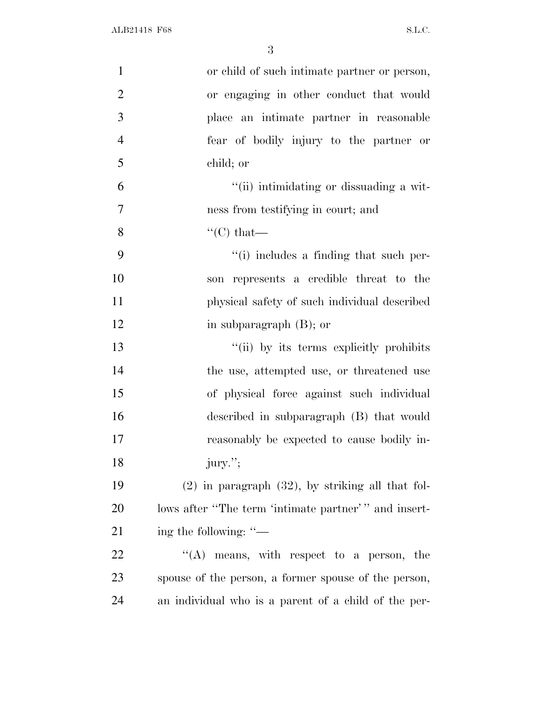| $\mathbf{1}$   | or child of such intimate partner or person,          |
|----------------|-------------------------------------------------------|
| $\overline{2}$ | or engaging in other conduct that would               |
| 3              | place an intimate partner in reasonable               |
| $\overline{4}$ | fear of bodily injury to the partner or               |
| 5              | child; or                                             |
| 6              | "(ii) intimidating or dissuading a wit-               |
| 7              | ness from testifying in court; and                    |
| 8              | $\lq\lq$ <sup>"</sup> (C) that—                       |
| 9              | "(i) includes a finding that such per-                |
| 10             | son represents a credible threat to the               |
| 11             | physical safety of such individual described          |
| 12             | in subparagraph $(B)$ ; or                            |
| 13             | "(ii) by its terms explicitly prohibits               |
| 14             | the use, attempted use, or threatened use             |
| 15             | of physical force against such individual             |
| 16             | described in subparagraph (B) that would              |
| 17             | reasonably be expected to cause bodily in-            |
| 18             | jury.";                                               |
| 19             | $(2)$ in paragraph $(32)$ , by striking all that fol- |
| 20             | lows after "The term 'intimate partner'" and insert-  |
| 21             | ing the following: "-                                 |
| 22             | $\lq\lq$ means, with respect to a person, the         |
| 23             | spouse of the person, a former spouse of the person,  |
| 24             | an individual who is a parent of a child of the per-  |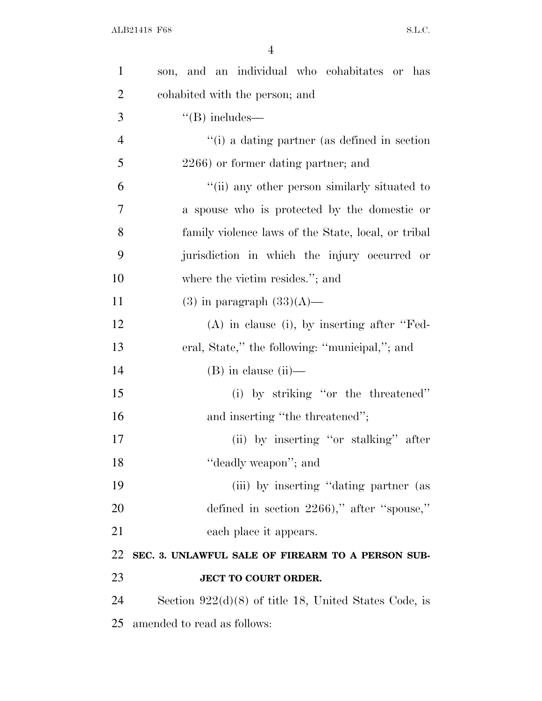| $\mathbf{1}$   | son, and an individual who cohabitates or has           |
|----------------|---------------------------------------------------------|
| $\overline{2}$ | cohabited with the person; and                          |
| 3              | $\lq\lq(B)$ includes—                                   |
| $\overline{4}$ | $\lq\lq$ (i) a dating partner (as defined in section    |
| 5              | 2266) or former dating partner; and                     |
| 6              | "(ii) any other person similarly situated to            |
| $\overline{7}$ | a spouse who is protected by the domestic or            |
| 8              | family violence laws of the State, local, or tribal     |
| 9              | jurisdiction in which the injury occurred or            |
| 10             | where the victim resides."; and                         |
| 11             | $(3)$ in paragraph $(33)(A)$ —                          |
| 12             | $(A)$ in clause (i), by inserting after "Fed-           |
| 13             | eral, State," the following: "municipal,"; and          |
| 14             | $(B)$ in clause $(ii)$ —                                |
| 15             | (i) by striking "or the threatened"                     |
| 16             | and inserting "the threatened";                         |
| 17             | (ii) by inserting "or stalking" after                   |
| 18             | "deadly weapon"; and                                    |
| 19             | (iii) by inserting "dating partner (as                  |
| 20             | defined in section 2266)," after "spouse,"              |
| 21             | each place it appears.                                  |
| 22             | SEC. 3. UNLAWFUL SALE OF FIREARM TO A PERSON SUB-       |
| 23             | JECT TO COURT ORDER.                                    |
| 24             | Section $922(d)(8)$ of title 18, United States Code, is |
| 25             | amended to read as follows:                             |